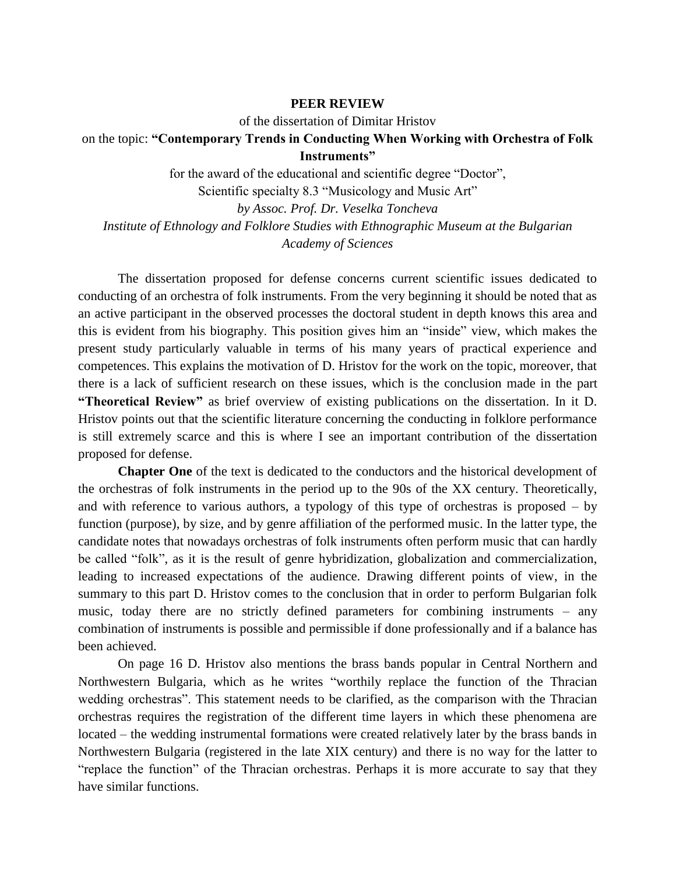## **PEER REVIEW**

of the dissertation of Dimitar Hristov

## on the topic: **"Contemporary Trends in Conducting When Working with Orchestra of Folk Instruments"**

for the award of the educational and scientific degree "Doctor",

Scientific specialty 8.3 "Musicology and Music Art"

*by Assoc. Prof. Dr. Veselka Toncheva Institute of Ethnology and Folklore Studies with Ethnographic Museum at the Bulgarian Academy of Sciences*

The dissertation proposed for defense concerns current scientific issues dedicated to conducting of an orchestra of folk instruments. From the very beginning it should be noted that as an active participant in the observed processes the doctoral student in depth knows this area and this is evident from his biography. This position gives him an "inside" view, which makes the present study particularly valuable in terms of his many years of practical experience and competences. This explains the motivation of D. Hristov for the work on the topic, moreover, that there is a lack of sufficient research on these issues, which is the conclusion made in the part **"Theoretical Review"** as brief overview of existing publications on the dissertation. In it D. Hristov points out that the scientific literature concerning the conducting in folklore performance is still extremely scarce and this is where I see an important contribution of the dissertation proposed for defense.

**Chapter One** of the text is dedicated to the conductors and the historical development of the orchestras of folk instruments in the period up to the 90s of the XX century. Theoretically, and with reference to various authors, a typology of this type of orchestras is proposed – by function (purpose), by size, and by genre affiliation of the performed music. In the latter type, the candidate notes that nowadays orchestras of folk instruments often perform music that can hardly be called "folk", as it is the result of genre hybridization, globalization and commercialization, leading to increased expectations of the audience. Drawing different points of view, in the summary to this part D. Hristov comes to the conclusion that in order to perform Bulgarian folk music, today there are no strictly defined parameters for combining instruments – any combination of instruments is possible and permissible if done professionally and if a balance has been achieved.

On page 16 D. Hristov also mentions the brass bands popular in Central Northern and Northwestern Bulgaria, which as he writes "worthily replace the function of the Thracian wedding orchestras". This statement needs to be clarified, as the comparison with the Thracian orchestras requires the registration of the different time layers in which these phenomena are located – the wedding instrumental formations were created relatively later by the brass bands in Northwestern Bulgaria (registered in the late XIX century) and there is no way for the latter to "replace the function" of the Thracian orchestras. Perhaps it is more accurate to say that they have similar functions.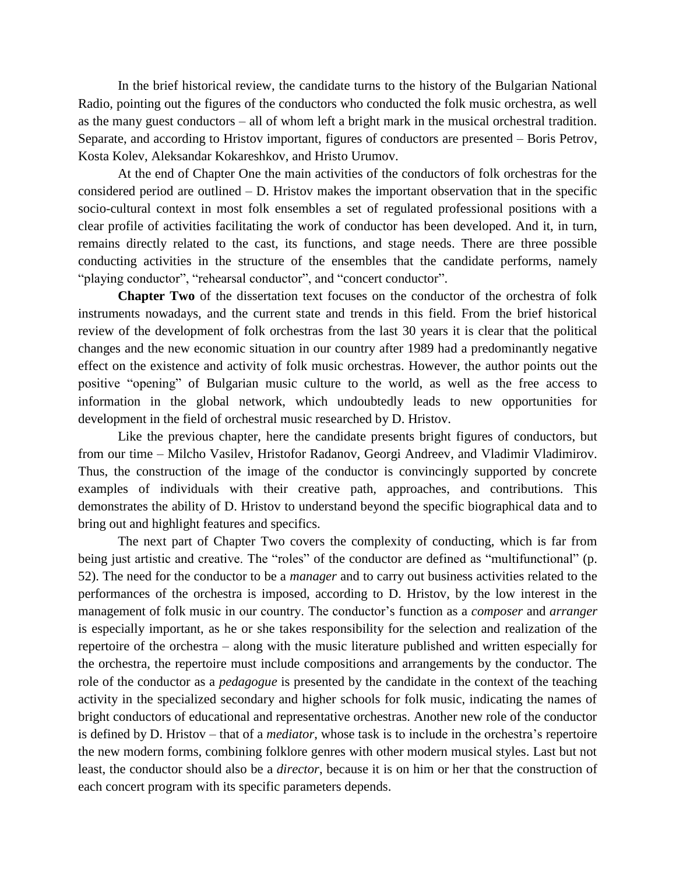In the brief historical review, the candidate turns to the history of the Bulgarian National Radio, pointing out the figures of the conductors who conducted the folk music orchestra, as well as the many guest conductors – all of whom left a bright mark in the musical orchestral tradition. Separate, and according to Hristov important, figures of conductors are presented – Boris Petrov, Kosta Kolev, Aleksandar Kokareshkov, and Hristo Urumov.

At the end of Chapter One the main activities of the conductors of folk orchestras for the considered period are outlined – D. Hristov makes the important observation that in the specific socio-cultural context in most folk ensembles a set of regulated professional positions with a clear profile of activities facilitating the work of conductor has been developed. And it, in turn, remains directly related to the cast, its functions, and stage needs. There are three possible conducting activities in the structure of the ensembles that the candidate performs, namely "playing conductor", "rehearsal conductor", and "concert conductor".

**Chapter Two** of the dissertation text focuses on the conductor of the orchestra of folk instruments nowadays, and the current state and trends in this field. From the brief historical review of the development of folk orchestras from the last 30 years it is clear that the political changes and the new economic situation in our country after 1989 had a predominantly negative effect on the existence and activity of folk music orchestras. However, the author points out the positive "opening" of Bulgarian music culture to the world, as well as the free access to information in the global network, which undoubtedly leads to new opportunities for development in the field of orchestral music researched by D. Hristov.

Like the previous chapter, here the candidate presents bright figures of conductors, but from our time – Milcho Vasilev, Hristofor Radanov, Georgi Andreev, and Vladimir Vladimirov. Thus, the construction of the image of the conductor is convincingly supported by concrete examples of individuals with their creative path, approaches, and contributions. This demonstrates the ability of D. Hristov to understand beyond the specific biographical data and to bring out and highlight features and specifics.

The next part of Chapter Two covers the complexity of conducting, which is far from being just artistic and creative. The "roles" of the conductor are defined as "multifunctional" (p. 52). The need for the conductor to be a *manager* and to carry out business activities related to the performances of the orchestra is imposed, according to D. Hristov, by the low interest in the management of folk music in our country. The conductor's function as a *composer* and *arranger* is especially important, as he or she takes responsibility for the selection and realization of the repertoire of the orchestra – along with the music literature published and written especially for the orchestra, the repertoire must include compositions and arrangements by the conductor. The role of the conductor as a *pedagogue* is presented by the candidate in the context of the teaching activity in the specialized secondary and higher schools for folk music, indicating the names of bright conductors of educational and representative orchestras. Another new role of the conductor is defined by D. Hristov – that of a *mediator*, whose task is to include in the orchestra's repertoire the new modern forms, combining folklore genres with other modern musical styles. Last but not least, the conductor should also be a *director*, because it is on him or her that the construction of each concert program with its specific parameters depends.